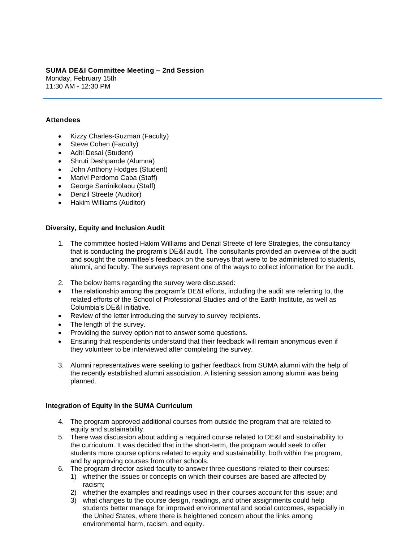### **SUMA DE&I Committee Meeting – 2nd Session** Monday, February 15th 11:30 AM - 12:30 PM

## **Attendees**

- Kizzy Charles-Guzman (Faculty)
- Steve Cohen (Faculty)
- Aditi Desai (Student)
- Shruti Deshpande (Alumna)
- John Anthony Hodges (Student)
- Mariví Perdomo Caba (Staff)
- George Sarrinikolaou (Staff)
- Denzil Streete (Auditor)
- Hakim Williams (Auditor)

### **Diversity, Equity and Inclusion Audit**

- 1. The committee hosted Hakim Williams and Denzil Streete of [Iere Strategies,](https://ierestrategies.wordpress.com/) the consultancy that is conducting the program's DE&I audit. The consultants provided an overview of the audit and sought the committee's feedback on the surveys that were to be administered to students, alumni, and faculty. The surveys represent one of the ways to collect information for the audit.
- 2. The below items regarding the survey were discussed:
- The relationship among the program's DE&I efforts, including the audit are referring to, the related efforts of the School of Professional Studies and of the Earth Institute, as well as Columbia's DE&I initiative.
- Review of the letter introducing the survey to survey recipients.
- The length of the survey.
- Providing the survey option not to answer some questions.
- Ensuring that respondents understand that their feedback will remain anonymous even if they volunteer to be interviewed after completing the survey.
- 3. Alumni representatives were seeking to gather feedback from SUMA alumni with the help of the recently established alumni association. A listening session among alumni was being planned.

### **Integration of Equity in the SUMA Curriculum**

- 4. The program approved additional courses from outside the program that are related to equity and sustainability.
- 5. There was discussion about adding a required course related to DE&I and sustainability to the curriculum. It was decided that in the short-term, the program would seek to offer students more course options related to equity and sustainability, both within the program, and by approving courses from other schools.
- 6. The program director asked faculty to answer three questions related to their courses:
	- 1) whether the issues or concepts on which their courses are based are affected by racism;
	- 2) whether the examples and readings used in their courses account for this issue; and
	- 3) what changes to the course design, readings, and other assignments could help students better manage for improved environmental and social outcomes, especially in the United States, where there is heightened concern about the links among environmental harm, racism, and equity.